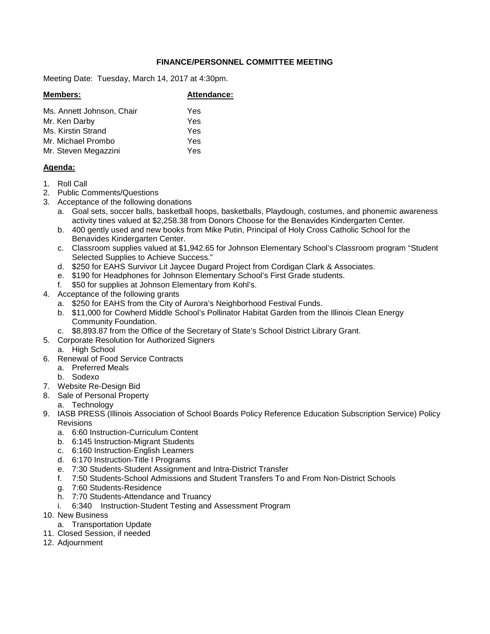# **FINANCE/PERSONNEL COMMITTEE MEETING**

Meeting Date: Tuesday, March 14, 2017 at 4:30pm.

| <b>Members:</b>           | <b>Attendance:</b> |  |
|---------------------------|--------------------|--|
| Ms. Annett Johnson, Chair | Yes                |  |
| Mr. Ken Darby             | Yes                |  |
| Ms. Kirstin Strand        | Yes                |  |
| Mr. Michael Prombo        | Yes                |  |
| Mr. Steven Megazzini      | Yes                |  |
|                           |                    |  |

# **Agenda:**

- 1. Roll Call
- 2. Public Comments/Questions
- 3. Acceptance of the following donations
	- a. Goal sets, soccer balls, basketball hoops, basketballs, Playdough, costumes, and phonemic awareness activity tines valued at \$2,258.38 from Donors Choose for the Benavides Kindergarten Center.
	- b. 400 gently used and new books from Mike Putin, Principal of Holy Cross Catholic School for the Benavides Kindergarten Center.
	- c. Classroom supplies valued at \$1,942.65 for Johnson Elementary School's Classroom program "Student Selected Supplies to Achieve Success."
	- d. \$250 for EAHS Survivor Lit Jaycee Dugard Project from Cordigan Clark & Associates.
	- e. \$190 for Headphones for Johnson Elementary School's First Grade students.
	- f. \$50 for supplies at Johnson Elementary from Kohl's.
- 4. Acceptance of the following grants
	- a. \$250 for EAHS from the City of Aurora's Neighborhood Festival Funds.
	- b. \$11,000 for Cowherd Middle School's Pollinator Habitat Garden from the Illinois Clean Energy Community Foundation.
	- c. \$8,893.87 from the Office of the Secretary of State's School District Library Grant.
- 5. Corporate Resolution for Authorized Signers
	- a. High School
- 6. Renewal of Food Service Contracts
	- a. Preferred Meals
	- b. Sodexo
- 7. Website Re-Design Bid
- 8. Sale of Personal Property
	- a. Technology
- 9. IASB PRESS (Illinois Association of School Boards Policy Reference Education Subscription Service) Policy Revisions
	- a. 6:60 Instruction-Curriculum Content
	- b. 6:145 Instruction-Migrant Students
	- c. 6:160 Instruction-English Learners
	- d. 6:170 Instruction-Title I Programs
	- e. 7:30 Students-Student Assignment and Intra-District Transfer
	- f. 7:50 Students-School Admissions and Student Transfers To and From Non-District Schools
	- g. 7:60 Students-Residence
	- h. 7:70 Students-Attendance and Truancy
	- i. 6:340 Instruction-Student Testing and Assessment Program
- 10. New Business
	- a. Transportation Update
- 11. Closed Session, if needed
- 12. Adjournment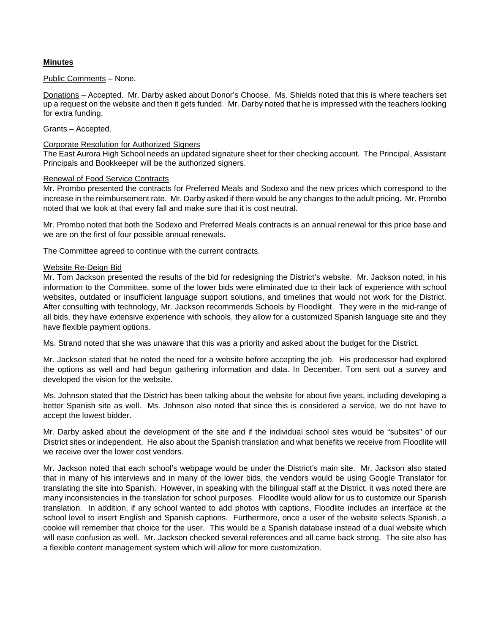# **Minutes**

#### Public Comments – None.

Donations – Accepted. Mr. Darby asked about Donor's Choose. Ms. Shields noted that this is where teachers set up a request on the website and then it gets funded. Mr. Darby noted that he is impressed with the teachers looking for extra funding.

### Grants – Accepted.

### Corporate Resolution for Authorized Signers

The East Aurora High School needs an updated signature sheet for their checking account. The Principal, Assistant Principals and Bookkeeper will be the authorized signers.

### Renewal of Food Service Contracts

Mr. Prombo presented the contracts for Preferred Meals and Sodexo and the new prices which correspond to the increase in the reimbursement rate. Mr. Darby asked if there would be any changes to the adult pricing. Mr. Prombo noted that we look at that every fall and make sure that it is cost neutral.

Mr. Prombo noted that both the Sodexo and Preferred Meals contracts is an annual renewal for this price base and we are on the first of four possible annual renewals.

The Committee agreed to continue with the current contracts.

### Website Re-Deign Bid

Mr. Tom Jackson presented the results of the bid for redesigning the District's website. Mr. Jackson noted, in his information to the Committee, some of the lower bids were eliminated due to their lack of experience with school websites, outdated or insufficient language support solutions, and timelines that would not work for the District. After consulting with technology, Mr. Jackson recommends Schools by Floodlight. They were in the mid-range of all bids, they have extensive experience with schools, they allow for a customized Spanish language site and they have flexible payment options.

Ms. Strand noted that she was unaware that this was a priority and asked about the budget for the District.

Mr. Jackson stated that he noted the need for a website before accepting the job. His predecessor had explored the options as well and had begun gathering information and data. In December, Tom sent out a survey and developed the vision for the website.

Ms. Johnson stated that the District has been talking about the website for about five years, including developing a better Spanish site as well. Ms. Johnson also noted that since this is considered a service, we do not have to accept the lowest bidder.

Mr. Darby asked about the development of the site and if the individual school sites would be "subsites" of our District sites or independent. He also about the Spanish translation and what benefits we receive from Floodlite will we receive over the lower cost vendors.

Mr. Jackson noted that each school's webpage would be under the District's main site. Mr. Jackson also stated that in many of his interviews and in many of the lower bids, the vendors would be using Google Translator for translating the site into Spanish. However, in speaking with the bilingual staff at the District, it was noted there are many inconsistencies in the translation for school purposes. Floodlite would allow for us to customize our Spanish translation. In addition, if any school wanted to add photos with captions, Floodlite includes an interface at the school level to insert English and Spanish captions. Furthermore, once a user of the website selects Spanish, a cookie will remember that choice for the user. This would be a Spanish database instead of a dual website which will ease confusion as well. Mr. Jackson checked several references and all came back strong. The site also has a flexible content management system which will allow for more customization.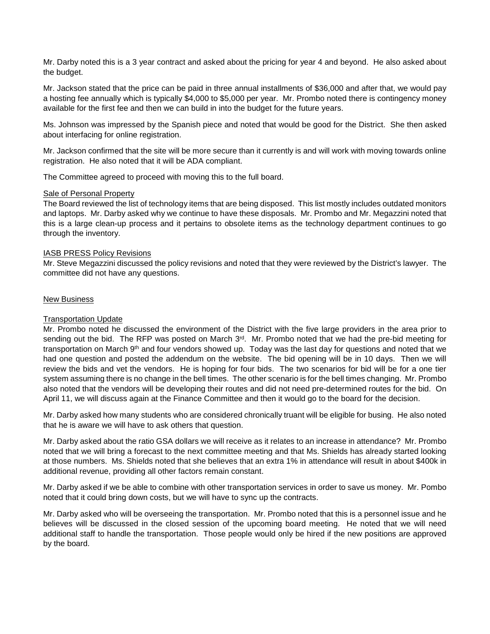Mr. Darby noted this is a 3 year contract and asked about the pricing for year 4 and beyond. He also asked about the budget.

Mr. Jackson stated that the price can be paid in three annual installments of \$36,000 and after that, we would pay a hosting fee annually which is typically \$4,000 to \$5,000 per year. Mr. Prombo noted there is contingency money available for the first fee and then we can build in into the budget for the future years.

Ms. Johnson was impressed by the Spanish piece and noted that would be good for the District. She then asked about interfacing for online registration.

Mr. Jackson confirmed that the site will be more secure than it currently is and will work with moving towards online registration. He also noted that it will be ADA compliant.

The Committee agreed to proceed with moving this to the full board.

### Sale of Personal Property

The Board reviewed the list of technology items that are being disposed. This list mostly includes outdated monitors and laptops. Mr. Darby asked why we continue to have these disposals. Mr. Prombo and Mr. Megazzini noted that this is a large clean-up process and it pertains to obsolete items as the technology department continues to go through the inventory.

### IASB PRESS Policy Revisions

Mr. Steve Megazzini discussed the policy revisions and noted that they were reviewed by the District's lawyer. The committee did not have any questions.

#### New Business

#### Transportation Update

Mr. Prombo noted he discussed the environment of the District with the five large providers in the area prior to sending out the bid. The RFP was posted on March 3<sup>rd</sup>. Mr. Prombo noted that we had the pre-bid meeting for transportation on March 9th and four vendors showed up. Today was the last day for questions and noted that we had one question and posted the addendum on the website. The bid opening will be in 10 days. Then we will review the bids and vet the vendors. He is hoping for four bids. The two scenarios for bid will be for a one tier system assuming there is no change in the bell times. The other scenario is for the bell times changing. Mr. Prombo also noted that the vendors will be developing their routes and did not need pre-determined routes for the bid. On April 11, we will discuss again at the Finance Committee and then it would go to the board for the decision.

Mr. Darby asked how many students who are considered chronically truant will be eligible for busing. He also noted that he is aware we will have to ask others that question.

Mr. Darby asked about the ratio GSA dollars we will receive as it relates to an increase in attendance? Mr. Prombo noted that we will bring a forecast to the next committee meeting and that Ms. Shields has already started looking at those numbers. Ms. Shields noted that she believes that an extra 1% in attendance will result in about \$400k in additional revenue, providing all other factors remain constant.

Mr. Darby asked if we be able to combine with other transportation services in order to save us money. Mr. Pombo noted that it could bring down costs, but we will have to sync up the contracts.

Mr. Darby asked who will be overseeing the transportation. Mr. Prombo noted that this is a personnel issue and he believes will be discussed in the closed session of the upcoming board meeting. He noted that we will need additional staff to handle the transportation. Those people would only be hired if the new positions are approved by the board.